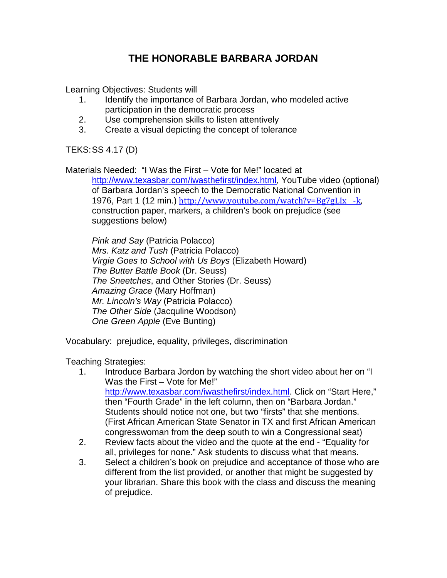## **THE HONORABLE BARBARA JORDAN**

Learning Objectives: Students will

- 1. Identify the importance of Barbara Jordan, who modeled active participation in the democratic process
- 2. Use comprehension skills to listen attentively
- 3. Create a visual depicting the concept of tolerance

TEKS:SS 4.17 (D)

Materials Needed: "I Was the First – Vote for Me!" located at [http://www.texasbar.com/iwasthefirst/index.html,](http://www.texasbar.com/iwasthefirst/index.html) YouTube video (optional) of Barbara Jordan's speech to the Democratic National Convention in 1976, Part 1 (12 min.) http://www.youtube.com/watch?v=Bg7gLIx -k, construction paper, markers, a children's book on prejudice (see suggestions below)

*Pink and Say* (Patricia Polacco) *Mrs. Katz and Tush* (Patricia Polacco) *Virgie Goes to School with Us Boys* (Elizabeth Howard) *The Butter Battle Book* (Dr. Seuss) *The Sneetches*, and Other Stories (Dr. Seuss) *Amazing Grace* (Mary Hoffman) *Mr. Lincoln's Way* (Patricia Polacco) *The Other Side* (Jacquline Woodson) *One Green Apple* (Eve Bunting)

Vocabulary: prejudice, equality, privileges, discrimination

Teaching Strategies:

- 1. Introduce Barbara Jordon by watching the short video about her on "I Was the First – Vote for Me!" [http://www.texasbar.com/iwasthefirst/index.html.](http://www.texasbar.com/iwasthefirst/index.html) Click on "Start Here," then "Fourth Grade" in the left column, then on "Barbara Jordan." Students should notice not one, but two "firsts" that she mentions. (First African American State Senator in TX and first African American congresswoman from the deep south to win a Congressional seat)
- 2. Review facts about the video and the quote at the end "Equality for all, privileges for none." Ask students to discuss what that means.
- 3. Select a children's book on prejudice and acceptance of those who are different from the list provided, or another that might be suggested by your librarian. Share this book with the class and discuss the meaning of prejudice.